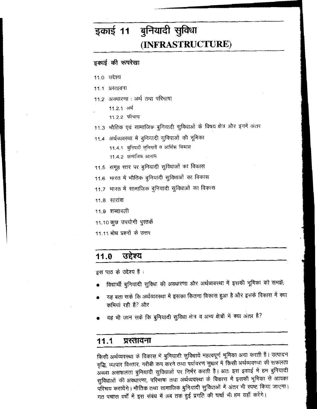# इकाई 11 बुनियादी सुविधा (INFRASTRUCTURE)

# इकाई की रूपरेखा

- 11.0 उद्देश्य
- 11.1 प्रस्तावना
- 11.2 अवधारणा : अर्थ तथा परिभाषा
	- 11.2.1 अर्थ
		- 11.2.2 परिभाषा
- 11.3 भौतिक एवं सामाजिक बुनियादी सुविधाओं के विषय क्षेत्र और इनमें अंतर
- 11.4 अर्थव्यवस्था में बुनियादी सुविधाओं की भूमिका
	- 11.4.1 बुनियादी सुविधायें व आर्थिक विकास 11.4.2 सामाजिक आयाम
- 11.5) समूह स्तर पर बुनियादी सुविधाओं का विकास
- 11.6 भारत में भौतिक बुनियादी सुविधाओं का विकास
- 11.7 भारत में सामाजिक बुनियादी सुविधाओं का विकास
- $11.8$  सारांश
- 11.9 शब्दावली
- 11.10 कुछ उपयोगी पुस्तकें
- 11.11 बोध प्रश्नों के उत्तर

#### 11.0 उद्देश्य

इस पाठ के उद्देश्य हैं :

- विद्यार्थी बुनियादी सुविधा की अवधारणा और अर्थव्यवस्था में इसकी भूमिका को समझे;
- यह बता सके कि अर्थव्यवस्था में इसका कितना विकास हुआ है और इसके विकास में क्या कमियां रही है? और
- यह भी जान सके कि बुनियादी सुविधा क्षेत्र व अन्य क्षेत्रों में क्या अंतर है?

#### $11.1$ प्रस्तावना

किसी अर्थव्यवस्था के विकास में बुनियादी सुविधायें महत्वपूर्ण भूमिका अदा करती हैं। उत्पादन वृद्धि, व्यापार विस्तार, गरीबी कम करने तथा पर्यावरण सुधार में किसी अर्थव्यवस्था की सफलता अथवा असफलता बुनियादी सुविधाओं पर निर्भर करती है। अतः इस इकाई में हम बुनियादी सुविधाओं की अवधारणा, परिभाषा तथा अर्थव्यवस्था के विकास में इसकी भूमिका से आपका परिचय करायेंगे । भौतिक तथा सामाजिक बुनियादी सुविधाओं में अंतर भी स्पष्ट किया जाएगा । गत पचास वर्षों में इस संबंध में अब तक हुई प्रगति की चर्चा भी हम यहाँ करेंगे।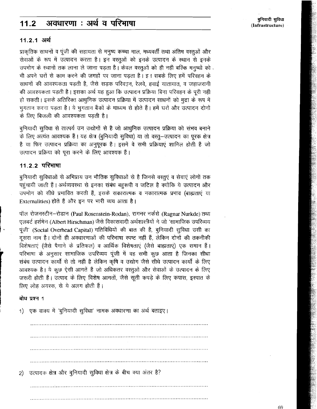#### अवधारणा : अर्थ व परिभाषा  $11.2$

बुनियादी सुविधा **(Infrastructure)** 

#### 11.2.1 अर्थ

प्राकृतिक साधनों व पूंजी की सहायता से मनुष्य कच्चा माल, मध्यवर्ती तथा अंतिम वस्तुओं और सेवाओं के रूप में उत्पादन करता है। इन वस्तूओं को इनके उत्पादन के स्थान से इनके उपभोग के स्थानों तक लाना ले जाना पड़ता है। केवल वस्तुओं को ही नहीं बल्कि मनुष्यों को भी अपने घरों से काम करने की जगहों पर जाना पडता है। इन सबके लिए हमें परिवहन के साधनों की आवश्यकता पड़ती है, जैसे सड़क परिवड़न, रेलवे, हवाई यातायात, व जहाजरानी की आवश्यकता पड़ती है। इसका अर्थ यह हुआ कि उत्पादन प्रक्रिया बिना परिवहन के पूरी नहीं हो सकती। इसके अतिरिक्त आधुनिक उत्पादन प्रक्रिया में उत्पादन साधनों को मुद्रा के रूप में भुगतान करना पड़ता है। ये भुगतान बैंकों के माध्यम से होते हैं। हमें घरों और उत्पादन दोनों के लिए बिजली की आवश्यकता पड़ती है।

बुनियादी सुविधा से तात्पर्य उन उद्योगों से है जो आधुनिक उत्पादन प्रक्रिया को संभव बनाने के लिए अत्यंत आवश्यक हैं। यह क्षेत्र (बुनियादी सुविधा) या तो वस्तु-उत्पादन का पूरक क्षेत्र है या फिर उत्पादन प्रक्रिया का अनुपूरक है। इसमें वे सभी प्रक्रियाएं शामिल होती हैं जो उत्पादन प्रक्रिया को पूरा करने के लिए आवश्यक हैं।

# 11.2.2 परिभाषा

बुनियादी सुविधाओं से अभिप्राय उन भौतिक सुविधाओं से है जिनसे वस्तुएं व सेवाएं लोगों तक पहुंचायी जाती हैं। अर्थव्यवस्था से इनका संबंध बहुरूपी व जटिल है क्योंकि ये उत्पादन और उपभोग को सीधे प्रभावित करती हैं, इसके सकारात्मक व नकारात्मक प्रभाव (बाह्मताएं या Externalities) होते हैं और इन पर भारी व्यय आता है।

पॉल रोजनस्टीन–रोडान (Paul Rosenstein-Rodan), रागनर नर्कसे (Ragnar Nurkde) तथा एलबर्ट हर्शमेन (Albert Hirschman) जैसे विकासवादी अर्थशास्त्रीयों ने जो 'सामाजिक उपरिव्यय पूंजी' (Social Overhead Capital) गतिविधियों की बात की है, बुनियादी सुविधा उसी का दूसरा नाम है। दोनों ही अवधारणाओं की परिभाषा स्पष्ट नहीं हैं, लेकिन दोनों की तकनीकी विशेषताएं (जैसे पैमाने के प्रतिफल) व आर्थिक विशेषताएं (जैसे बाह्मताएं) एक समान हैं। परिभाषा के अनुसार सामाजिक उपरिव्यय पूंजी में वह सभी कुछ आता है जिनका सीधा संबंध उत्पादन कार्यो से तो नहीं है लेकिन कृषि व उद्योग जैसे सीधे उत्पादन कार्यो के लिए आवश्यक है। ये कूछ ऐसी आगतें हैं जो अधिकतर वस्तूओं और सेवाओं के उत्पादन के लिए जरूरी होती हैं। उत्पाद के लिए विशेष आगतों, जैसे सूती कपड़े के लिए कपास, इस्पात के लिए लोह अयस्क, से ये अलग होती हैं।

#### बोध प्रश्न 1

एक वाक्य में 'बूनियादी सुविधा' नामक अवधारणा का अर्थ बताइए।  $\left( \begin{matrix} 1 \end{matrix} \right)$ उत्पादक क्षेत्र और बुनियादी सुविधा क्षेत्र के बीच क्या अंतर है?  $\mathbf{2}$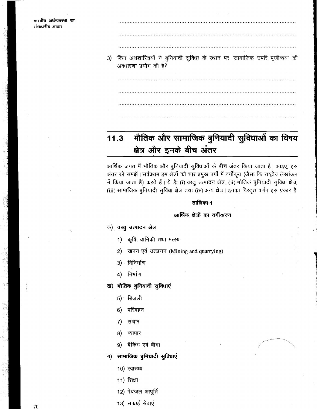3) किन अर्थशास्त्रियों ने बुनियादी सुविधा के स्थान पर 'सामाजिक उपरि पूंजीव्यय' की

अवधारणा प्रयोग की है? 

# भौतिक और सामाजिक बुनियादी सुविधाओं का विषय  $11.3$ क्षेत्र और इनके बीच अंतर

आर्थिक जगत में भौतिक और बुनियादी सुविधाओं के बीच अंतर किया जाता है। आइए, इस अंतर को समझें। सर्वप्रथम हम क्षेत्रों को चार प्रमुख वर्गो में वर्गीकृत (जैसा कि राष्ट्रीय लेखांकन में किया जाता है) करते हैं। ये है: (i) वस्तु उत्पादन क्षेत्र, (ii) भौतिक बुनियादी सुविधा क्षेत्र, (iii) सामाजिक बुनियादी सुविधा क्षेत्र तथा (iv) अन्य क्षेत्र। इनका विस्तृत वर्णन इस प्रकार है:

#### तालिका-1

#### आर्थिक क्षेत्रों का वर्गीकरण

#### क) वस्तु उत्पादन क्षेत्र

- 1) कृषि, वानिकी तथा मत्स्य
- खनन एवं उत्खनन (Mining and quarrying)  $2)$
- 3) विनिर्माण
- 4) निर्माण
- ख) भौतिक बुनियादी सुविधाएं
	- 5) बिजली
	- $6)$ परिवहन
	- संचार 7)
	- 8) व्यापार
	- बैंकिंग एवं बीमा 9) —
- सामाजिक बुनियादी सुविधाएं ग) ।
	- 10) स्वास्थ्य
	- 11) शिक्षा
	- 12) पेयजल आपूर्ति
	- 13) सफाई सेवाएं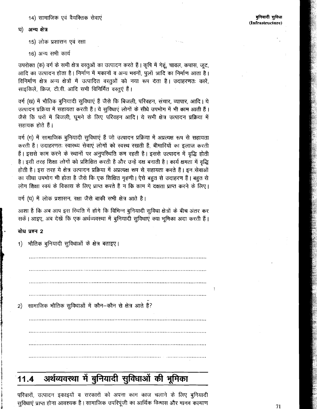अन्य क्षेत्र <u>घ)</u>

15) लोक प्रशासन एवं रक्षा

16) अन्य सभी कार्य

उपरोक्त (क) वर्ग के सभी क्षेत्र वस्तुओं का उत्पादन करते हैं। कृषि में गेहूं, चावल, कपास, जूट, आदि का उत्पादन होता है। निर्माण में मकानों व अन्य भवनों, पुलों आदि का निर्माण आता है। विनिर्माण क्षेत्र अन्य क्षेत्रों में उत्पादित वस्तुओं को नया रूप देता है। उदाहरणतः कारें, साइकिलें, फ्रिज, टी.वी. आदि सभी विनिर्मित वस्तुएं हैं।

वर्ग (ख) में भौतिक बुनियादी सुविधाएं हैं जैसे कि बिजली, परिवहन, संचार, व्यापार, आदि। ये उत्पादन प्रक्रिया में सहायता करती हैं। ये सुविधाएं लोगों के सीधे उपभोग में भी काम आती हैं। जैसे कि घरों में बिजली, घूमने के लिए परिवहन आदि। ये सभी क्षेत्र उत्पादन प्रक्रिया में सहायक होते हैं।

वर्ग (ग) में सामाजिक बुनियादी सुविधाएं हैं जो उत्पादन प्रक्रिया में अप्रत्यक्ष रूप से सहायता करती हैं। उदाहरणतः स्वास्थ्य सेवाएं लोगों को स्वस्थ रखती हैं, बीमारियों का इलाज करती हैं। इससे काम करने के स्थानों पर अनुपरिथति कम रहती है। इससे उत्पादन में वृद्धि होती है। इसी तरह शिक्षा लोगों को प्रशिक्षित करती है और उन्हें दक्ष बनाती है। कार्य क्षमता में वृद्धि होती है। इस तरह ये क्षेत्र उत्पादन प्रक्रिया में अप्रत्यक्ष रूप से सहायता करते हैं। इन सेवाओं का सीधा उपभोग भी होता है जैसे कि एक शिक्षित गृहणी। ऐसे बहुत से उदाहरण हैं। बहुत से लोग शिक्षा स्वयं के विकास के लिए प्राप्त करते हैं न कि काम में दक्षता प्राप्त करने के लिए।

वर्ग (घ) में लोक प्रशासन, रक्षा जैसे बाकी सभी क्षेत्र आते है।

आशा है कि अब आप इस स्थिति में होंगे कि विभिन्न बुनियादी सुविधा क्षेत्रों के बीच अंतर कर सकें। आइए, अब देखें कि एक अर्थव्यवस्था में बुनियादी सुविधाएं क्या भूमिका अदा करती हैं।

#### बोध प्रश्न 2

भौतिक बुनियादी सुविधाओं के क्षेत्र बताइए।  $\vert$ 1) सामाजिक भौतिक सुविधाओं में कौन–कौन से क्षेत्र आते हैं? 2)

#### अर्थव्यवस्था में बुनियादी सुविधाओं की भूमिका  $11.4$

परिवारों, उत्पादन इकाइयों व सरकारों को अपना काम काज चलाने के लिए बुनियादी सुविधाएं प्राप्त होना आवश्यक है। सामाजिक उपरिपूंजी का आर्थिक विकास और मानव कल्याण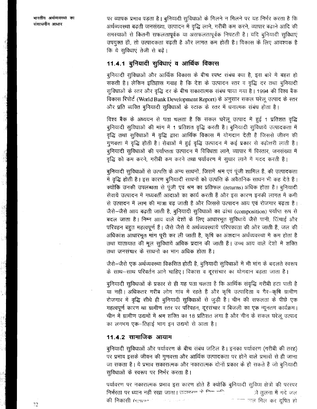पर व्यापक प्रभाव पड़ता है। बुनियादी सुविधाओं के मिलने न मिलने पर यह निर्भर करता है कि अर्थव्यवस्था बढ़ती जनसंख्या, उत्पादन में वृद्धि लाने, गरीबी कम करने, व्यापार बढ़ाने आदि की समस्याओं से कितनी सफलतापूर्वक या असफलतापूर्वक निपटती है। यदि बूनियादी सुविधाएं उपयुक्त हों, तो उत्पादकता बढ़ती है और लागत कम होती है। विकास के लिए आवश्यक है कि ये सुविधाएं तेजी से बढ़ें।

# 11.4.1 बुनियादी सुविधाएं व आर्थिक विकास

बुनियादी सुविधाओं और आर्थिक विकास के बीच स्पष्ट संबंध क्या है, इस बारे में बहस हो सकती है। लेकिन इतिहास गवाह है कि देश के उत्पादन स्तर व वृद्धि दर तथा बुनियादी सुविधाओं के स्तर और वृद्धि दर के बीच सकारात्मक संबंध पाया गया है। 1994 की विश्व बैंक विकास रिपोर्ट (World Bank Development Report) के अनुसार सकल घरेलू उत्पाद के स्तर और प्रति व्यक्ति बुनियादी सुविधाओं के स्टाक के स्तर में धनात्मक संबंध होता है।

विश्व बैंक के अध्ययन से पता चलता है कि सकल घरेलू उत्पाद में हुई 1 प्रतिशत वृद्धि बुनियादी सुविधाओं की मांग में 1 प्रतिशत वृद्धि करती है। बुनियादी सुविधायें उत्पादकता में वृद्धि तथा सुविधाओं में वृद्धि द्वारा आर्थिक विकास में योगदान देती हैं जिससे जीवन की गुणवत्ता में वृद्धि होती है। सेवाओं में हुई वृद्धि उत्पादन में कई प्रकार से वढ़ोत्तरी लाती है। बूनियादी सुविधाओं की पर्याप्तता उत्पादन में विविधता लाने, व्यापार में विस्तार, जनसंख्या में वृद्धि को कम करने, गरीबी कम करने तथा पर्यावरण में सूधार लाने में मदद करती है।

बुनियादी सुविधाओं से उत्पत्ति के अन्य साधनों, जिसमें श्रम एवं पूंजी शामिल हैं, की उत्पादकता में वृद्धि होती है। इस कारण बुनियादी साधनों को उत्पत्ति के अवैतनिक साधन भी कह देते हैं। क्योंकि उनकी उपलब्धता से पूंजी एवं श्रम का प्रतिफल (returns) अधिक होता है। बुनियादी सेवायें उत्पादन में मध्यवर्ती आदाओं का कार्य करती हैं और इस कारण इनकी लागत में कमी से उत्पादन में लाभ की मात्रा बढ़ जाती है और जिससे उत्पादन आय एवं रोजगार बढ़ता है। जैसे-जैसे आय बढ़ती जाती है, बुनियादी सुविधाओं का ढांचा (composition) पर्याप्त रूप से बदल जाता है। निम्न आय वाले देशों के लिए आधारभूत सुविधायें जैसे पानी, तिंचाई और परिवहन बहुत महत्वपूर्ण हैं। जैसे जैसे ये अर्थव्यवस्थायें परिपक्वता की ओर जाती हैं, जल की अधिकांश आधारभूत मांग पूरी कर ली जाती है, कृषि का अंशदान अर्थव्यवस्था में कम होता है तथा यातायात की मूल सुविधायें अधिक प्रदान की जाती हैं। उच्च आय वाले देशों में शक्ति तथा जनसंचार के साधनों का भाग अधिक होता है।

जैसे-जैसे एक अर्थव्यवस्था विकसित होती है, बुनियादी सुविधाओं में भी मांग के बदलते स्वरूप के साथ-साथ परिवर्तन आने चाहिए। विकास व दूरसंचार का योगदान बढ़ता जाता है।

बुनियादी सुविधाओं के प्रकार से ही यह पता चलता है कि आर्थिक संवृद्धि गरीबी हटा पाती है या नहीं। अधिकतर गरीब लोग गांव में रहते हैं और कृषि उत्पादिता व गैर-कृषि ग्रामीण रोजगार में वृद्धि सीधे ही बुनियादी सुविधाओं से जुड़ी है। चीन की सफलता के पीछे एक महत्वपूर्ण कारण था ग्रामीण स्तर पर परिवहन, दूरसंचार व बिजली का एक न्यूनतम कार्यक्रम। चीन में ग्रामीण उद्यमों में श्रम शक्ति का 18 प्रतिशत लगा है और चीन के सकल घरेलू उत्पाद का लगभग एक-तिहाई भाग इन उद्यमों से आता है।

# 11.4.2 सामाजिक आयाम

बुनियादी सुविधाओं और पर्यावरण के बीच संबंध जटिल है। इनका पर्यावरण (गरीबी की तरह) पर प्रभाव इसके जीवन की गुणवत्ता और आर्थिक उत्पादकता पर होने वाले प्रभावों से ही जाना जा सकता है। ये प्रभाव सकारात्मक और नकारात्मक दोनों प्रकार के हो सकते हैं जो बुनियादी सुविधाओं के स्वरूप पर निर्भर करता है।

पर्यावरण पर नकारात्मक प्रभाव इस कारण होते हैं क्योंकि बुनियादी सुविधा क्षेत्रों की परस्पर निर्भरता पर ध्यान नहीं रखा जाता। उदाहरण के <del>जिल</del> नकि ो तुलना में गंदे जल े नान बाल मिल कर दूषित हो की निकासी (seward the stational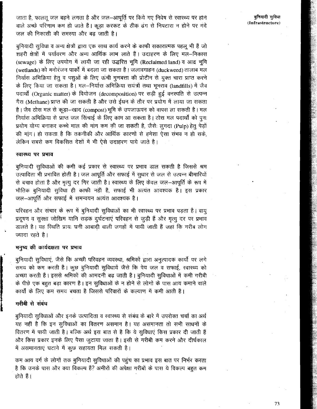जाता है, फालत जल बहने लगता है और जल-आपूर्ति पर किये गए निवेष से स्वास्थ्य पर होने वाले अच्छे परिणाम कम हो जाते हैं। कुड़ा करकट के ठीक ढंग से निपटारा न होने पर गंदे जल की निकासी की समस्या और बढ जाती है।

बनियादी सविधा व अन्य क्षेत्रों द्वारा एक साथ कार्य करने के काफी सकारात्मक पहलु भी हैं जो शहरी क्षेत्रों में पर्यावरण और अन्य आर्थिक लाभ लाते हैं। उदाहरण के लिए मल–निकास (sewage) के लिए उपयोग में लायी जा रही उद्धरित भूमि (Reclaimed land) व आद्र भूमि (wetlands) को मनोरंजन पार्को में बदला जा सकता है। जलावगाहन (duckweed) तालाब मल निर्यास अभिक्रिया हेतु व पशुओं के लिए ऊंची गुणबत्ता की प्रोटीन से युक्त चारा प्राप्त करने के लिए किया जा सकता है। मल-निर्यास अभिक्रिया सयंत्रों तथा भूभराव (landfills) में जैव पदार्थो (Organic matter) के वियोजन (decomposition) पर सड़ी हुई वनस्पति से उत्पन्न गैस (Methane) प्राप्त की जा सकती है और उसे ई़धन के तौर पर प्रयोग में लाया जा सकता है। जैव ठोस मल से कूड़ा-न्खाद (compost)भूमि के उपजाऊपन को वापस ला सकती है। मल निर्यास अभिक्रिया से प्राप्त जल सिंचाई के लिए काम आ सकता है। ठोस मल पदार्थों को पून: प्रयोग योग्य बनाकर कच्चे माल की मांग कम की जा सकती है, जैसेः लुगदा (Pulp) हेतु पेड़ों की मांग। हो सकता है कि तकनीकी और आर्थिक कारणों से हमेशा ऐसा संभव न हो सके, लेकिन सबसे कम विकसित देशों में भी ऐसे उदाहरण पाये जाते है।

#### स्वास्थ्य पर प्रभाव

बुनियादी सुविधाओं की कमी कई प्रकार से स्वास्थ्य पर प्रभाव डाल सकती है जिससे श्रम उत्पादिता भी प्रभावित होती है। जल आपूर्ति और सफाई में सुधार से जल से उत्पन्न बीमारियों से बचाव होता है और मृत्यू दर गिर जाती है। स्वास्थ्य के लिए केवल जल-आपूर्ति के रूप में भौतिक बुनियादी सुविधा ही काफी नहीं है, सफाई भी अत्यंत आवश्यक है। इस प्रकार जल-आपर्ति और सफाई में समन्वयन अत्यंत आवश्यक है।

परिवहन और संचार के रूप में बुनियादी सुविधाओं का भी स्वास्थ्य पर प्रभाव पड़ता है। वायू प्रदुषण व सुरक्षा जोखिम यानि सड़क दुर्घटनाएं परिवहन से जुड़ी हैं और मृत्यु दर पर प्रभाव डालते है। यह रिथति प्रायः घनी आबादी वाली जगहों में पायी जाती हैं जहां कि गरीब लोग ज्यादा रहते है।

#### मनुष्य की कार्यदक्षता पर प्रभाव

बुनियादी सुविधाएं, जैसे कि अच्छी परिवहन व्यवस्था, श्रमिकों द्वारा अनुत्पादक कार्यो पर लगे समय को कम करती है। कुछ बुनियादी सुविधायें जैसे कि पेय जल व सफाई, स्वास्थ्य को अच्छा करती हैं। इससे श्रमिकों की आमदनी बढ़ जाती है। बुनियादी सुविधाओं में कमी गरीबी के पीछे एक बहुत बड़ा कारण है। इन सुविधाओं के न होने से लोगों के पास आय कमाने वाले कार्यों के लिए कम समय बचता है जिससे परिवारों के कल्याण में कमी आती है।

### गरीबी से संबंध

बुनियादी सुविधाओं और इनके उत्पादिता व स्वास्थ्य से संबंध के बारे में उपरोक्त चर्चा का अर्थ यह नहीं है कि इन सुविधाओं का वितरण असमान है। यह असमानता तो सभी साधनों के वितरण में पायी जाती है। बल्कि अर्थ इस बात से है कि ये सुविधाएं किस प्रकार दी जाती हैं और किस प्रकार इनके लिए पैसा जुटाया जाता है। इसी से गरीबी कम करने और दीर्घकाल में असमानताएं घटाने में कुछ सहायता मिल सकती है।

कम आय वर्ग के लोगों तक बुनियादी सुविधाओं की पहुंच का प्रभाव इस बात पर निर्भर करता है कि उनके पास और क्या विकल्प हैं? अमीरों की अपेक्षा गरीबों के पास ये विकल्प बहुत कम होते हैं।

बुनियादी सुविधा (Infrastructure)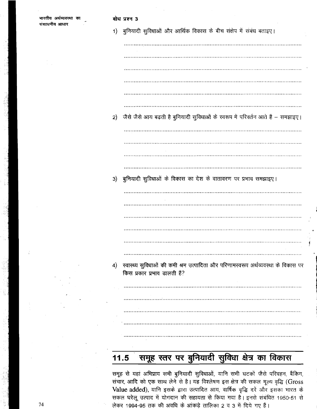| भारतीय अर्थव्यवस्था का<br>संसाधनीय आधार | बोध प्रश्न 3                                                                         |
|-----------------------------------------|--------------------------------------------------------------------------------------|
|                                         | 1) बुनियादी सुविधाओं और आर्थिक विकास के बीच संक्षेप में संबंध बताइए।                 |
|                                         |                                                                                      |
|                                         |                                                                                      |
|                                         |                                                                                      |
|                                         |                                                                                      |
|                                         |                                                                                      |
|                                         | 2) जैसे जैसे आय बढ़ती है बुनियादी सुविधाओं के स्वरूप में परिवर्तन आते हैं - समझाइए।  |
|                                         |                                                                                      |
|                                         |                                                                                      |
|                                         |                                                                                      |
|                                         | 3) बुनियादी सुविधाओं के विकास का देश के वातावरण पर प्रभाव समझाइए।                    |
|                                         |                                                                                      |
|                                         |                                                                                      |
|                                         |                                                                                      |
|                                         |                                                                                      |
|                                         |                                                                                      |
|                                         | 4) स्वास्थ्य सुविधाओं की कमी श्रम उत्पादिता और परिणामस्वरूप अर्थव्यवस्था के विकास पर |
|                                         | किस प्रकार प्रभाव डालती हैं?                                                         |
|                                         |                                                                                      |
|                                         |                                                                                      |
|                                         |                                                                                      |
|                                         |                                                                                      |
|                                         |                                                                                      |

#### समूह स्तर पर बुनियादी सुविधा क्षेत्र का विकास  $11.5$

समूह से यहां अभिप्राय सभी बुनियादी सुविधाओं, यानि सभी घटकों जैसे परिवहन, बैंकिंग, संचार, आदि को एक साथ लेने से है। यह विश्लेषण इस क्षेत्र की सकल मूल्य वृद्धि (Gross Value added), यानि इसके द्वारा उत्पादित आय, वार्षिक वृद्धि दरें और इसका भारत के सकल घरेलू उत्पाद में योगदान की सहायता से किया गया है। इनसे संबंधित 1950-51 से लेकर 1994-95 तक की अवधि के आंकड़े तालिका 2 व 3 में दिये गए हैं।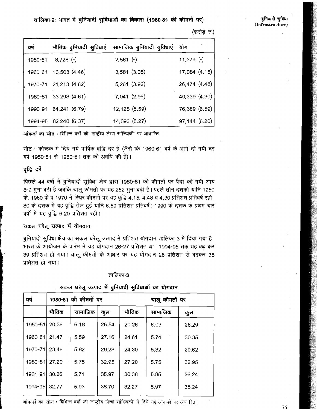बुनियादी सुविधा (Infrastructure)

तालिका-2: भारत में बुनियादी सुविधाओं का विकास (1980-81 की कीमतों पर)

भौतिक बुनियादी सुविधाएं वर्ष सामाजिक बुनियादी सुविधाएं योग  $8,728$  (-)  $2,561$  (-)  $11,379$  (-) 1950-51  $13,503(4.46)$  $3,581$   $(3.05)$ 17,084 (4.15) 1960-61  $5,261$   $(3.92)$ 26,474 (4.48) 1970-71 21,213 (4.62)  $7,041(2.96)$ 1980-81 33,298 (4.61) 40,339 (4.30) 1990-91 64,241 (6.79) 12,128 (5.59) 76,369 (6.59) 1994-95 82,248 (6.37) 14,896 (5.27)  $97,144(6.20)$ 

(करोड रु.)

आंकड़ों का स्रोत : विभिन्न वर्षों की 'राष्ट्रीय लेखा सांख्यिकी' पर आधारित

नोट: कोष्ठक में दिये गये वार्षिक वृद्धि दर हैं (जैसे कि 1960-61 वर्ष के आगे दी गयी दर वर्ष 1950-51 से 1960-61 तक की अवधि की है)।

# वृद्धि दरें

पिछले 44 वर्षों में बूनियादी सुविधा क्षेत्र द्वारा 1980-81 की कीमतों पर पैदा की गयी आय 8-9 गुना बढ़ी है जबकि चालू कीमतों पर यह 252 गुना बढ़ी है। पहले तीन दशकों यानि 1950 के, 1960 के व 1970 में स्थिर कीमतों पर यह वृद्धि 4.15, 4.48 व 4.30 प्रतिशत प्रतिवर्ष रही। 80 के दशक में यह वृद्धि तेज हुई यानि 6.59 प्रतिशत प्रतिवर्ष। 1990 के दशक के प्रथम चार वर्षों में यह वृद्धि 6.20 प्रतिशत रही।

#### सकल घरेलू उत्पाद में योगदान

बुनियादी सुविधा क्षेत्र का सकल घरेलू उत्पाद में प्रतिशत योगदान तालिका 3 में दिया गया है। भारत के आयोजन के प्रारंभ में यह योगदान 26-27 प्रतिशत था। 1994-95 तक यह बढ़ कर 39 प्रतिशत हो गया। चालू कीमतों के आधार पर यह योगदान 26 प्रतिशत से बढकर 38 प्रतिशत हो गया।

#### तालिका-3

|       |         |       | चालू कीमतों पर       |         |       |  |
|-------|---------|-------|----------------------|---------|-------|--|
| भौतिक | सामाजिक | कुल   | भौतिक                | सामाजिक | कुल   |  |
| 20.36 | 6.18    | 26.54 | 20.26                | 6.03    | 26.29 |  |
| 21.47 | 5.59    | 27.16 | 24.61                | 5.74    | 30,35 |  |
| 23.46 | 5.82    | 29.28 | 24.30                | 5.32    | 29.62 |  |
| 27.20 | 5.75    | 32.95 | 27.20                | 5,75    | 32.95 |  |
| 30.26 | 5.71    | 35.97 | 30.38                | 5.85    | 36.24 |  |
| 32.77 | 5.93    | 38.70 | 32.27                | 5.97    | 38.24 |  |
|       |         |       | 1980-81 की कीमतों पर |         |       |  |

सकल घरेलू उत्पाद में बुनियादी सुविधाओं का योगदान

आंकड़ों का स्रोत : विभिन्न वर्षों की 'राष्ट्रीय लेखा सांख्यिकी' में दिये गए आंकड़ों पर आधारित।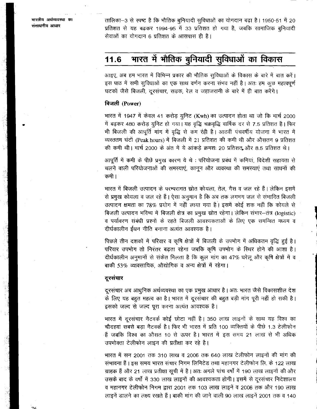भारतीय अर्थव्यवस्था का संसाधनीय आधार

 $\mathcal{L}$ 

तालिका-3 से स्पष्ट है कि भौतिक बुनियादी सुविधाओं का योगदान बढ़ा है। 1950-51 में 20 प्रतिशत से यह बढ़कर 1994-95 में 33 प्रतिशत हो गया है, जबकि सामाजिक बुनियादी सेवाओं का योगदान 6 प्रतिशत के आसपास ही है।

#### भारत में भौतिक बुनियादी सुविधाओं का विकास 11.6

आइए, अब हम भारत में विभिन्न प्रकार की भौतिक सुविधाओं के विकास के बारे में बात करें। इस पाठ में सभी सुविधाओं का एक साथ वर्णन करना संभव नहीं है। अतः हम कुछ महत्वपूर्ण घटकों जैसे बिजली, दरसंचार, सड़क, रेल व जहाजरानी के बारे में ही बात करेंगे।

# बिजली (Power)

भारत में 1947 में केवल 41 करोड़ यूनिट (Kwh) का उत्पादन होता था जो कि मार्च 2000 में बढ़कर 480 करोड़ युनिट हो गया। यह वृद्धि चक्रवृद्धि वार्षिक दर से 7.5 प्रतिशत है। फिर भी बिजली की आपूर्ति मांग में वृद्धि से कम रही है। आठवीं पंचवर्षीय योजना में भारत में व्यस्ततम घंटों (Peak hours) में बिजली में 21 प्रतिशत की कमी थी और औसतन 9 प्रतिशत की कमी थी। मार्च 2000 के अंत में ये आंकड़े क्रमशः 20 प्रतिशत और 8.5 प्रतिशत थे।

आपूर्ति में कमी के पीछे प्रमुख कारण ये थे : परियोजना प्रबंध में कमियां, विदेशी सहायता से चलने वाली परियोजनाओं की समस्याएं, कानून और व्यवस्था की समस्याएं तथा साधनों की कमी ।

भारत में बिजली उत्पादन के परम्परागत स्रोत कोयला, तेल, गैस व जल रहे हैं। लेकिन इसमें से प्रमुख कोयला व जल रहे हैं। ऐसा अनुमान है कि अब तक लगभग जल से संभावित बिजली उत्पादन क्षमता का 78% प्रयोग में नहीं लाया गया है। इसमें कोई शक नहीं कि कोयले से बिजली उत्पादन भविष्य में बिजली क्षेत्र का प्रमुख स्रोत रहेगा। लेकिन संभार-तंत्र (logistic) व पर्यावरण संबंधी प्रश्नों के रहते बिजली आवश्यकताओं के लिए एक समन्वित मध्यम व दीर्घकालीन ईंधन नीति बनाना अत्यंत आवश्यक है।

पिछले तीन दशकों में परिवार व कृषि क्षेत्रों में बिजली के उपभोग में अधिकतम वृद्धि हुई है। परिवार उपभोग तो निरंतर बढ़ता रहेगा जबकि कृषि उपभोग के स्थिर होने की आशा है। दीर्घकालीन अनुमानों से संकेत मिलता है कि कूल मांग का 47% घरेलू और कृषि क्षेत्रों में व बाकी 53% व्यावसायिक, औद्योगिक व अन्य क्षेत्रों में रहेगा।

#### दूरसंचार

दूरसंचार अब आधुनिक अर्थव्यवस्था का एक प्रमुख आधार है। अतः भारत जैसे विकासशील देश के लिए यह बहुत महत्व का है। भारत में दूरसंचार की बहुत बड़ी मांग पूरी नहीं हो सकी है। इसको जल्द से जल्द पूरा करना अत्यंत आवश्यक है।

भारत में दूरसंचार नैटवर्क कोई छोटा नहीं है। 350 लाख लाइनों के साथ यह विश्व का चौदहवां सबसे बड़ा नैटवर्क है। फिर भी भारत में प्रति 100 व्यक्तियों के पीछे 1.3 टेलीफोन हैं जबकि विश्व का औसत 10 से ऊपर है। भारत में इस समय 21 लाख से भी अधिक उप़भोक्ता टेलीफोन लाइन की प्रतीक्षा कर रहे है।

भारत में सन 2001 तक 310 लाख व 2006 तक 640 लाख टेलीफोन लाइनों की मांग की संभावना हैं। इस समय भारत संचार निगम लिमिटेड तथा महानगर टेलीफोन लि. के 122 लाख ग्राहक हैं और 21 लाख प्रतीक्षा सूची में है। अतः अगले पांच वर्षों में 190 लाख लाइनों की और उसके बाद के वर्षों में 330 लाख लाइनों की आवश्यकता होगी। इसमें से दूरसंचार निदेशालय व महानगर टेलीफोन निगम द्वारा 2001 तक 103 लाख लाइनें व 2006 तक और 190 लाख लाइनें डालने का लक्ष्य रखते हैं। बाकी मांग की जाने वाली 90 लाख लाइनें 2001 तक व 140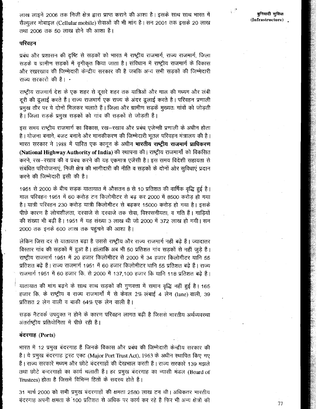लाख लाइनें 2006 तक निजी क्षेत्र द्वारा प्राप्त कराने की आशा है। इसके साथ साथ भारत में सैल्यूलर मोबाइल (Cellular mobile) सेवाओं की भी मांग है। सन 2001 तक इसके 20 लाख तथा 2006 तक 50 लाख होने की आशा है।

#### परिवहन

प्रबंध और प्रशासन की दृष्टि से सड़कों को भारत में राष्ट्रीय राजमार्ग, राज्य राजमार्ग, जिला सड़कें व ग्रामीण सड़कों में वृगीकृत किया जाता है। संविधान में राष्ट्रीय राजमार्ग के विकास और रखरखाव की जिम्मेदारी केन्द्रीय सरकार की है जबकि अन्य सभी सड़कों की जिम्मेदारी राज्य सरकारों की है।  $\cdot$ 

राष्ट्रीय राजमार्ग देश के एक शहर से दूसरे शहर तक यात्रिओं और माल की मध्यम और लंबी दरी की ढ़लाई करते हैं। राज्य राजमार्ग एक राज्य के अंदर ढ़ूलाई करते है। परिवहन प्रणाली प्रमुख तौर पर ये दोनों मिलकर चलाते हैं। जिला और ग्रामीण सड़कें मुख्यतः गांवों को जोड़ती हैं। जिला सड़कें प्रमुख सड़कों को गांव की सड़कों से जोड़ती हैं।

इस समय राष्ट्रीय राजमार्ग का विकास, रख–रखाव और प्रबंध एजेन्सी प्रणाली के अधीन होता है। योजना बनाने, बजट बनाने और मानकीकरण की जिम्मेदारी भूतल परिवहन मंत्रालय की है। भारत सरकार ने 1988 में पारित एक कानून के अधीन **भारतीय राष्ट्रीय राजमार्ग प्राधिकरण** (National Highway Authority of India) की स्थापना की। राष्ट्रीय राजमार्गों को विकसित करने, रख-रखाव की व प्रबंध करने की यह एकमात्र एजेंसी है। इस समय विदेशी सहायता से संबंधित परियोजनाएं. निजी क्षेत्र की भागीदारी की नीति व सड़कों के दोनों ओर सविधाएं प्रदान करने की जिम्मेदारी इसी की है।

1951 से 2000 के बीच सड़क यातायात में औसतन 8 से 10 प्रतिशत की वार्षिक वृद्धि हुई है। माल परिवहन 1951 में 60 करोड़ टन किलोमीटर से बढ़ कर 2000 में 8500 करोड़ हो गया है। यात्री परिवहन 230 करोड़ यात्री किलोमीटर से बढ़कर 15000 करोड़ हो गया है। इसके पीछे कारण है लोचशीलता, दरवाजे से दरवाजे तक सेवा, विश्वसनीयता, व गति हैं। गाडियों की संख्या भी बढ़ी है। 1951 में यह संख्या 3 लाख थी जो 2000 में 372 लाख हो गयी। सन 2000 तक इनके 600 लाख तक पहुंचने की आशा है।

लेकिन जिस दर से यातायात बढ़ा है उससे राष्ट्रीय और राज्य राजमार्ग नहीं बढ़े हैं। ज्यादातर विस्तार गांव की सड़कों में हुआ है। हांलाकि अब भी 50 प्रतिशत गांव सड़कों से नहीं जुड़े हैं। राष्ट्रीय राजमार्ग 1951 में 20 हजार किलोमीटर से 2000 में 34 हजार किलोमीटर यानि 55 प्रतिशत बढ़े हैं। राज्य राजमार्ग 1951 में 60 हजार किलोमीटर थानि 55 प्रतिशत बढ़े हैं। राज्य राजमार्ग 1951 में 60 हजार कि. से 2000 में 137,100 हजार कि यानि 118 प्रतिशत बढ़े हैं।

यातायात की मांग बढ़ने के साथ साथ सड़कों की गुणवत्ता में समान वृद्धि नहीं हुई है। 165 हजार कि. के राष्ट्रीय व राज्य राजमार्गो में से केवल 2% लंबाई 4 लेन (lane) वाली, 39 प्रतिशत 2 लेन वाली व बाकी 64% एक लेन वाली है।

सड़क नैटवर्क उपयुक्त न होने के कारण परिवहन लागत बढ़ी है जिससे भारतीय अर्थव्यवस्था अंतर्राष्ट्रीय प्रतियोगिता में पीछे रही है।

#### बंदरगाह (Ports)

भारत में 12 प्रमुख बंदरगाह हैं जिनके विकास और प्रबंध की जिम्मेदारी केन्द्रीय सरकार की है। ये प्रमुख बंदरगाह ट्रस्ट एक्ट (Major Port Trust Act), 1963 के अधीन स्थापित किए गए हैं। राज्य सरकारें मध्यम और छोटे बंदरगाहों की देखभाल करती हैं। राज्य सरकारें 139 मझले तथा छोटे बन्दरगाहों का कार्य चलाती हैं। हर प्रमुख बंदरगाह का न्यासी मंडल (Board of Trustees) होता है जिसमें विभिन्न हितों के सदस्य होते हैं।

31 मार्च 2000 को सभी प्रमुख बंदरगाहों की क्षमता 2580 लाख टन थी। अधिकतर भारतीय बंदरगाह अपनी क्षमता के 100 प्रतिशत से अधिक पर कार्य कर रहे हैं फिर भी अन्य क्षेत्रों की  $\mathcal{F}$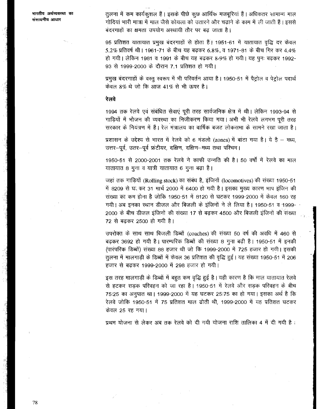तुलना में कम कार्यकुशल हैं। इसके पीछे कुछ आर्थिक मजबूरियां हैं। अधिकतर सामान्य माल गोदियां भारी मात्रा में माल जैसे कोयला को उतारने और चढाने के काम में ली जाती हैं। इससे बंदरगाहों का क्षमता उपयोग अस्थायी तौर पर बढ़ जाता है।

95 प्रतिशत यातायात प्रमुख बंदरगाहों से होता है। 1951-61 में यातायात वृद्धि दर केवल 5.2% प्रतिवर्ष थी। 1961-71 के बीच यह बढ़कर 6.8%, व 1971-81 के बीच गिर कर 4.4% हो गयी। लेकिन 1981 व 1991 के बीच यह बढ़कर 8-9% हो गयी। यह पुनः बढ़कर 1992-93 से 1999-2000 के दौरान 7.1 प्रतिशत हो गयी।

प्रमुख बंदरगाहों के वस्तु स्वरूप में भी परिवर्तन आया है। 1950-51 में पैट्रोल व पेट्रोल पदार्थ केवल 8% थे जो कि आज 41% से भी ऊपर है।

#### रेलवे

1994 तक रेलवे एवं संबंधित सेवाएं पूरी तरह सार्वजनिक क्षेत्र में थी। लेकिन 1993-94 से गाड़ियों में भोजन की व्यवस्था का निजीकरण किया गया। अभी भी रेलवे लगभग पूरी तरह सरकार के नियंत्रण में हैं। रेल मंत्रालय का वार्षिक बजट लोकसभा के सामने रखा जाता है।

प्रशासन के उद्देश्य से भारत में रेलवे को 6 मंडलो (zones) में बांटा गया है। ये है – मध्य, उत्तर-पूर्व, उतर-पूर्व फ्रंटीयर, दक्षिण, दक्षिण-मध्य तथा पश्चिम।

1950-51 से 2000-2001 तक रेलवे ने काफी उन्नति की है। 50 वर्षों में रेलवे का माल यातायात 8 गुना व यात्री यातायात 6 गुना बढ़ा है।

जहां तक गाड़ियों (Rolling stock) का संबंध है, इंजिनों (locomotives) की संख्या 1950-51 में 8209 से घर कर 31 मार्च 2000 में 6400 हो गयी है। इसका मुख्य कारण भाप इंजिन की संख्या का कम होना है जोकि 1950-51 में 8120 से घटकर 1999-2000 में केवल 160 रह गयी। अब इनका स्थान डीजल और बिजली के इंजिनों ने ले लिया है। 1950-51 व 1999-2000 के बीच डीजल इंजिनों की संख्या 17 से बढ़कर 4500 और बिजली इंजिनों की संख्या 72 से बढ़कर 2500 हो गयी है।

उपरोक्त के साथ साथ बिजली डिब्बों (coaches) की संख्या 50 वर्ष की अवधि में 460 से बढ़कर 3692 हो गयी है। पारम्परिक डिब्बों की संख्या 8 गुना बढ़ी है। 1950-51 में इनक़ी (पारंपरिक डिब्बों) संख्या 88 हजार थी जो कि 1999-2000 में 725 हजार हो गयी। इसकी तुलना में मालगाड़ी के डिब्बों में केवल 36 प्रतिशत की वृद्धि हुई। यह संख्या 1950-51 में 206 हजार से बढकर 1999-2000 में 298 हजार हो गयी।

इस तरह मालगाड़ी के डिब्बों में बहुत कम वृद्धि हुई है। यही कारण है कि माल यातायात रेलवे से हटकर सड़क परिवहन को जा रहा है। 1950-51 में रेलवे और सड़क परिवहन के बीच 75:25 का अनुपात था। 1999-2000 में यह घटकर 25:75 का हो गया। इसका अर्थ है कि रेलवे जोकि 1950-51 में 75 प्रतिशत माल ढोती थी. 1999-2000 में यह प्रतिशत घटकर केवल 25 रह गया।

प्रथम योजना से लेकर अब तक रेलवे को दी गयी योजना राशि तालिका 4 में दी गयी है :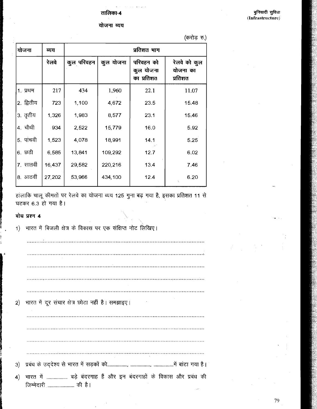योजना व्यय

बुनियादी सुविधा (Infrastructure)

|                         |        |             |           |                                      | (करोड़ रु.)                         |  |  |  |
|-------------------------|--------|-------------|-----------|--------------------------------------|-------------------------------------|--|--|--|
| योजना                   | व्यय   | प्रतिशत भाग |           |                                      |                                     |  |  |  |
|                         | रेलवे  | कुल परिवहन  | कुल योजना | परिवहन को<br>कुल योजना<br>का प्रतिशत | रेलवे को कुल<br>योजना का<br>प्रतिशत |  |  |  |
| 1. प्रथम                | 217    | 434         | 1,960     | 22.1                                 | 11.07                               |  |  |  |
| <sup> </sup> 2. द्वितीय | 723    | 1,100       | 4,672     | 23.5                                 | 15.48                               |  |  |  |
| '3. तृतीय               | 1,326  | 1,983       | 8,577     | 23.1                                 | 15.46                               |  |  |  |
| 4. चौथी                 | 934    | 2,522       | 15,779    | 16.0                                 | 5.92                                |  |  |  |
| 5. पाचवी                | 1,523  | 4,078       | 18,991    | 14.1                                 | 5.25                                |  |  |  |
| 6. छठी                  | 6,585  | 13,841      | 109,292   | 12.7                                 | 6.02                                |  |  |  |
| 7. सातवीं               | 16,437 | 29,582      | 220,216   | 13.4                                 | 7.46                                |  |  |  |
| 8. आठवीं                | 27,202 | 53,966      | 434,100   | 12.4                                 | 6.20                                |  |  |  |

हांलाकि चालू कीमतों पर रेलवे का योजना व्यय 125 गुना बढ़ गया है, इसका प्रतिशत 11 से घटकर 6.3 हो गया है।

#### बोध प्रश्न 4

भारत में दूर संचार क्षेत्र छोटा नहीं है। समझाइए।  $2)$  $3)$ भारत में .................... बड़े बंदरगाह हैं और इन बंदरगाहों के विकास और प्रबंध की  $\vert 4 \rangle$ 

भारत में बिजली क्षेत्र के विकास पर एक संक्षिप्त नोट लिखिए।  $1)$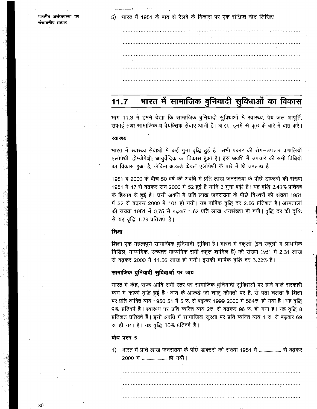भारतीय अर्थव्यवस्था का संसाधनीय आधार

भारत में 1951 के बाद से रेलवे के विकास पर एक संक्षिप्त नोट लिखिए।  $5)$ 

#### भारत में सामाजिक बुनियादी सुविधाओं का विकास  $11.7$

भाग 11.3 में हमने देखा कि सामाजिक बूनियादी सूविधाओं में स्वास्थ्य, पेय जल आपूर्ति, सफाई तथा सामाजिक व वैयक्तिक सेवाएं आती हैं। आइए, इनमें से कुछ के बारे में बात करें।

#### स्वास्थ्य

भारत में स्वास्थ्य सेवाओं में कई गुना वृद्धि हुई है। सभी प्रकार की रोग-उपचार प्रणालियों एलोपेथी, होम्योपेथी, आयुर्वेदिक का विकास हुआ है। इस अवधि में उपचार की सभी विधियों का विकास हुआ है, लेकिन आंकड़े केवल एलोपेथी के बारे में ही उपलब्ध हैं।

1951 व 2000 के बीच 50 वर्ष की अवधि में प्रति लाख जनसंख्या के पीछे डाक्टरों की संख्या 1951 में 17 से बढ़कर सन 2000 में 52 हुई है यानि 3 गुना बढ़ी है। यह वृद्धि 2.43% प्रतिवर्ष के हिसाब से हुई है। उसी अवधि में प्रति लाख जनसंख्या के पीछे बिस्तरों की संख्या 1951 में 32 से बढ़कर 2000 में 101 हो गयी। यह वार्षिक वृद्धि दर 2.56 प्रतिशत है। अस्पतालों की संख्या 1951 में 0.75 से बढ़कर 1.62 प्रति लाख जनसंख्या हो गयी। वृद्धि दर की दृष्टि से यह वृद्धि 1.73 प्रतिशत्त है।

#### शिक्षा

शिक्षा एक महत्वपूर्ण सामाजिक बुनियादी सुविधा है। भारत में स्कूलों (इन स्कूलों में प्राथमिक मिडिल, माध्यमिक, उच्चतर माध्यमिक सभी स्कूल शामिल हैं) की संख्या 1951 में 2.31 लाख से बढकर 2000 में 11.56 लाख हो गयी। इसकी वार्षिक वृद्धि दर 3.22% है।

#### सामाजिक बुनियादी सुविधाओं पर व्यय

भारत में केंद्र, राज्य आदि सभी स्तर पर सामाजिक बुनियादी सुविधाओं पर होने वाले सरकारी व्यय में काफी वृद्धि हुई है। व्यय के आंकड़े जो चालू कीमतों पर हैं, से पता चलता है शिक्षा पर प्रति व्यक्ति व्यय 1950-51 में 5 रु. से बढ़कर 1999-2000 में 564रु. हो गया है। यह वृद्धि 9% प्रतिवर्ष है। स्वास्थ्य पर प्रति व्यक्ति व्यय 2रु. से बढ़कर 96 रु. हो गया है। यह वृद्धि 8 प्रतिशत प्रतिवर्ष हैं। इसी अवधि में सामाजिक सुरक्षा पर प्रति व्यक्ति व्यय 1 रु. से बढ़कर 69 रु हो गया है। यह वृद्धि 10% प्रतिवर्ष है।

बोध प्रश्न 5

1) भारत में प्रति लाख जनसंख्या के पीछे डाक्टरों की संख्या 1951 में ................... से बढ़कर 2000 में ...................... हो गयी।

80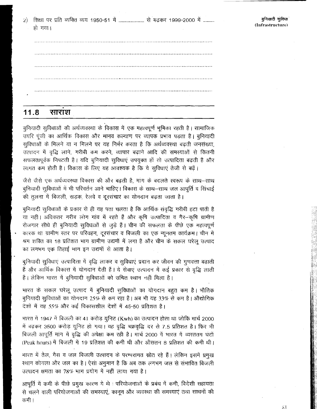शिक्षा पर प्रति व्यक्ति व्यय 1950-51 में ......................... से बढ़कर 1999-2000 में .......... 2) हो गया।

#### $11.8$ साराश

बुनियादी सुविधाओं की अर्थव्यवस्था के विकास में एक महत्वपूर्ण भूमिका रहती है। सामाजिक उपरि पूंजी का आर्थिक विकास और मानव कल्याण पर व्यापक प्रभाव पड़ता है। बुनियादी सुविधाओं के मिलने या न मिलने पर यह निर्भर करता है कि अर्थव्यवस्था बढती जनसंख्या, उत्पादन में वृद्धि लाने, गरीबी कम करने, व्यापार बढ़ाने आदि की समस्याओं से कितनी सफलतापूर्वक निपटती है। यदि बुनियादी सुविधाएं उपयुक्त हों तो उत्पादिता बढती है और लागत कम होती है। विकास के लिए यह आवश्यक है कि ये सुविधाएं तेजी से बढ़ें।

जैसे जैसे एक अर्थव्यवस्था विकास की और बढ़ती है, मांग के बदलते स्वरूप के साथ-साथ बुनियादी सुविधाओं में भी परिवर्तन आने चाहिए। विकास के साथ-साथ जल आपूर्ति व सिंचाई की तुलना में बिजली, सड़क, रेलवे व दूरसंचार का योगदान बढ़ता जाता है।

बुनियादी सुविधाओं के प्रकार से ही यह पता चलता है कि आर्थिक संवृद्धि गरीबी हटा पाती है या नहीं। अधिकतर गरीब लोग गांव में रहते हैं और कृषि उत्पादिता व गैर-कृषि ग्रामीण रोजगार सीधे ही बुनियादी सुविधाओं से जुड़े हैं। चीन की सफलता के पीछे एक महत्वपूर्ण कारक था ग्रामीण स्तर पर परिवहन, दूरसंचार व बिजली का एक न्यूनतम कार्यक्रम। चीन मे श्रम शक्ति का 18 प्रतिशत भाग ग्रामीण उद्यमों में लगा है और चीन के सकल घरेलू उत्पाद का लगभग एक तिहाई भाग इन उद्यमों से आता है।

बुनियादी सुविधाएं उत्पादिता में वृद्धि लाकर व सुविधाएं प्रदान कर जीवन की गुणवत्ता बढाती हैं और आर्थिक विकास में योगदान देती हैं। ये सेवाएं उत्पादन में कई प्रकार से वृद्धि लाती हैं। लेकिन भारत में बुनियादी सुविधाओं को उचित स्थान नहीं मिला है।

भारत के सकल घरेलू उत्पाद में बुनियादी सुविधाओं का योगदान बहुत कम है। भौतिक बुनियादी सुविधाओं का योगदान 25% से कम रहा है। अब भी यह 33% से कम है। औद्योगिक देशों में यह 55% और कई विकासशील देशों में 45-50 प्रतिशत है।

भारत में 1947 में बिजली का 41 करोड़ यूनिट (Kwh) का उत्पादन होता था जोकि मार्च 2000 में बढ़कर 3500 करोड़ यूनिट हो गया। यह वृद्धि चक्रवृद्धि दर से 7.5 प्रतिशत है। फिर भी बिजली आपूर्ति मांग में वृद्धि की अपेक्षा कम रही है। मार्च 2000 में भारत में व्यस्ततम घंटों (Peak hours) में बिजली में 19 प्रतिशत की कमी थी और औसतन 8 प्रतिशत की कमी थी।

भारत में तेल, गैस व जल बिजली उत्पादन के परम्परागत स्रोत रहे हैं। लेकिन इसमें प्रमुख रथान कोयला और जल का है। ऐसा अनुमान है कि अब तक लगभग जल से संभावित बिजली उत्पादन क्षमता का 78% भाग प्रयोग में नहीं लाया गया है।

आपूर्ति में कमी के पीछे प्रमुख कारण ये थे : परियोजनाओं के प्रबंध में कमी, विदेशी सहायता से चलने वाली परियोजनाओं की समस्याएं, कानून और व्यवस्था की समस्याएं तथा साधनों की कमी ।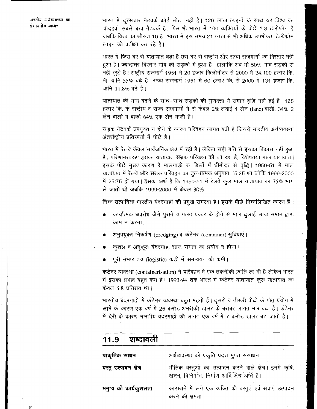भारतीय अर्थव्यवरथा का संसाधनीय आधार

भारत में दूरसंचार नैटवर्क कोई छोटा नहीं है। 120 लाख लाइनों के साथ यह विश्व का चौदहवां सबसे बड़ा नैटवर्क है। फिर भी भारत में 100 व्यक्तियों के पीछे 1.3 टेलीफोन हैं जबकि विश्व का औसत 10 है। भारत में इस समय 21 लाख से भी अधिक उपभोक्ता टेलीफोन लाइन की प्रतीक्षा कर रहे है।

भारत में जिस दर से यातायात बढ़ा है उस दर से राष्ट्रीय और राज्य राजमार्गो का विस्तार नहीं हुआ है। ज्यादातर विस्तार गांव की सड़कों में हुआ है। हांलाकि अब भी 50% गांव सड़कों से नहीं जुड़े है। राष्ट्रीय राजमार्ग 1951 में 20 हजार किलोमीटर से 2000 में 34,100 हजार कि. मी. यानि 55% बढ़े हैं। राज्य राजमार्ग 1951 में 60 हजार कि. से 2000 में 131 हजार कि. यानि 11.8% बढे हैं।

यातायात की मांग बढ़ने के साथ-साथ सड़कों की गुणवत्ता में समान वृद्धि नहीं हुई है। 165 हजार कि. के राष्ट्रीय व राज्य राजमार्गों में से केवल 2% लंबाई 4 लेन (lane) वाली, 34% 2 लेन वाली व बाकी 64% एक लेन वाली है।

सड़क नेटवर्क उपयुक्त न होने के कारण परिवहन लागत बढ़ी है जिससे भारतीय अर्थव्यवस्था अंतर्राष्ट्रीय प्रतिस्पर्धा में पीछे है।

भारत में रेलवे केवल सार्वजनिक क्षेत्र में रही है। लेकिन सही गति से इसका विकास नहीं हुआ है। परिणामस्वरूप इसका यातायात सड़क परिवहन को जा रहा है, विशेषतया माल यातायात। इसके पीछे मुख्य कारण है मालगाड़ी के डिब्बों में धीमीदर से वृद्धि। 1950-51 में माल यातायात में रेलवे और सड़क परिवहन का तुलनात्मक अनुपात 5:25 था जोकि 1999-2000 में 25:75 हो गया। इसका अर्थ है कि 1950-51 में रेलवे कूल माल यातायात का 75% भाग ले जाती थी जबकि 1999-2000 में केवल 30%।

निम्न उत्पादिता भारतीय बंदरगाहों की प्रमुख समस्या है। इसके पीछे निम्नलिखित कारण हैं:

- कार्यात्मक अवरोध जैसे पूराने व गलत प्रकार के होने से माल ढूलाई साज समान द्वारा काम न करना।
- अनुपयुक्त निकर्षण (dredging) व कटेनर (container) सुविधाएं।
- कुशल व अनुकूल बंदरगाह, साज समान का प्रयोग न होना।
	- पूरी संभार तत्र (logistic) कड़ी में समन्वयन की कमी।

कंटेनर व्यवस्था (containerisation) ने परिवहन में एक तकनीकी क्रांति ला दी है लेकिन भारत में इसका प्रभाव बहुत कम है। 1993-94 तक भारत में कंटेनर यातायात कुल यातायात का केवल 6.8 प्रतिशत था।

भारतीय बंदरगाहों में कंटेनर व्यवस्था बहुत मंहगी हैं। दूसरी व तीसरी पीढ़ी के पोत प्रयोग में लाने के कारण एक वर्ष में 25 करोड़ अमरीकी डालर के बराबर लागत भार बढ़ा है। कंटेनर में देरी के कारण भारतीय बंदरगाहों की लागत एक वर्ष में 7 करोड़ डालर बढ़ जाती है।

| शब्दावली<br>11.9        |                          |                                                                                                         |  |  |  |  |  |
|-------------------------|--------------------------|---------------------------------------------------------------------------------------------------------|--|--|--|--|--|
| प्राकृतिक साधन          |                          | अर्थव्यवस्था को प्रकृति प्रदत्त मुफ्त संसाधन                                                            |  |  |  |  |  |
| वस्तु उत्पादन क्षेत्र   | $\mathcal{L}_{\rm{max}}$ | भौतिक वस्तुओं का उत्पादन करने वाले क्षेत्र। इनमें कृषि,<br>खनन, विनिर्माण, निर्माण आदि क्षेत्र आते हैं। |  |  |  |  |  |
| मनुष्य की कार्यकुशलता ः |                          | कारखाने में लगे एक व्यक्ति की वस्तुएं एवं सेवाएं उत्पादन<br>करने की क्षमता                              |  |  |  |  |  |

82